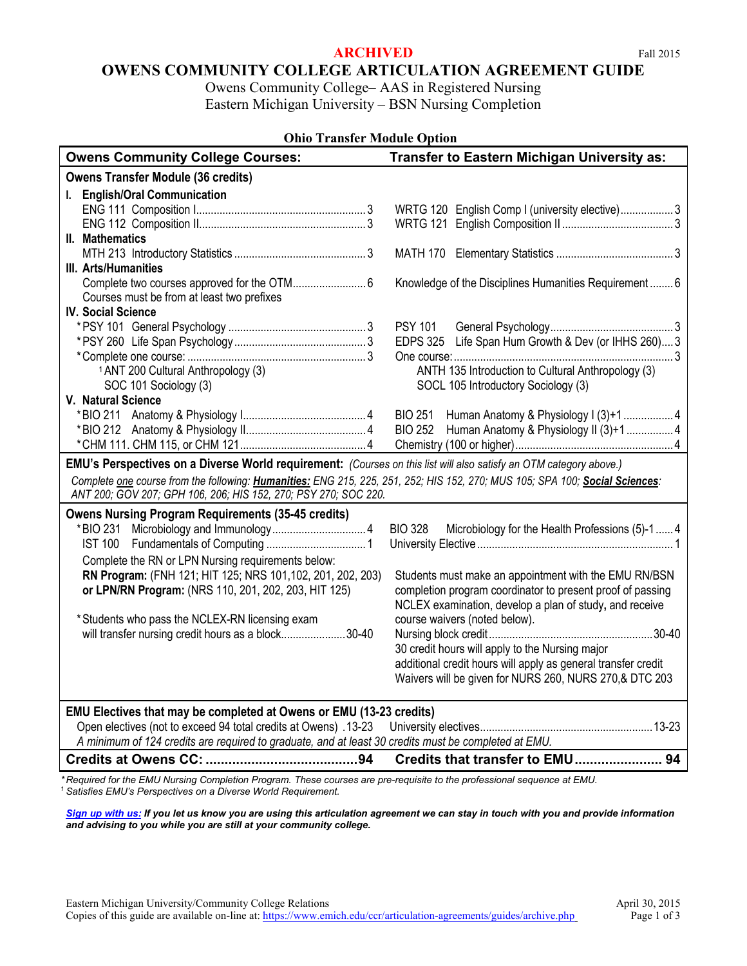#### **ARCHIVED** Fall 2015

Owens Community College– AAS in Registered Nursing Eastern Michigan University – BSN Nursing Completion

| <b>Ohio Transfer Module Option</b>                                                                                           |                                                                    |
|------------------------------------------------------------------------------------------------------------------------------|--------------------------------------------------------------------|
| <b>Owens Community College Courses:</b>                                                                                      | <b>Transfer to Eastern Michigan University as:</b>                 |
| <b>Owens Transfer Module (36 credits)</b>                                                                                    |                                                                    |
| I. English/Oral Communication                                                                                                |                                                                    |
|                                                                                                                              | WRTG 120 English Comp I (university elective)3                     |
|                                                                                                                              |                                                                    |
| II. Mathematics                                                                                                              |                                                                    |
|                                                                                                                              |                                                                    |
| III. Arts/Humanities                                                                                                         |                                                                    |
|                                                                                                                              | Knowledge of the Disciplines Humanities Requirement 6              |
| Courses must be from at least two prefixes                                                                                   |                                                                    |
| <b>IV. Social Science</b>                                                                                                    |                                                                    |
|                                                                                                                              |                                                                    |
|                                                                                                                              | EDPS 325 Life Span Hum Growth & Dev (or IHHS 260) 3                |
|                                                                                                                              |                                                                    |
| <sup>1</sup> ANT 200 Cultural Anthropology (3)                                                                               | ANTH 135 Introduction to Cultural Anthropology (3)                 |
| SOC 101 Sociology (3)                                                                                                        | SOCL 105 Introductory Sociology (3)                                |
| V. Natural Science                                                                                                           |                                                                    |
|                                                                                                                              | <b>BIO 251</b>                                                     |
|                                                                                                                              | Human Anatomy & Physiology II (3)+1  4<br><b>BIO 252</b>           |
|                                                                                                                              |                                                                    |
| EMU's Perspectives on a Diverse World requirement: (Courses on this list will also satisfy an OTM category above.)           |                                                                    |
| Complete one course from the following: Humanities: ENG 215, 225, 251, 252; HIS 152, 270; MUS 105; SPA 100; Social Sciences: |                                                                    |
| ANT 200; GOV 207; GPH 106, 206; HIS 152, 270; PSY 270; SOC 220.                                                              |                                                                    |
| <b>Owens Nursing Program Requirements (35-45 credits)</b>                                                                    |                                                                    |
|                                                                                                                              | <b>BIO 328</b><br>Microbiology for the Health Professions (5)-1  4 |
|                                                                                                                              |                                                                    |
| Complete the RN or LPN Nursing requirements below:                                                                           |                                                                    |
| RN Program: (FNH 121; HIT 125; NRS 101,102, 201, 202, 203)                                                                   | Students must make an appointment with the EMU RN/BSN              |
| or LPN/RN Program: (NRS 110, 201, 202, 203, HIT 125)                                                                         | completion program coordinator to present proof of passing         |
|                                                                                                                              | NCLEX examination, develop a plan of study, and receive            |
| *Students who pass the NCLEX-RN licensing exam                                                                               | course waivers (noted below).                                      |
| will transfer nursing credit hours as a block30-40                                                                           |                                                                    |
|                                                                                                                              | 30 credit hours will apply to the Nursing major                    |
|                                                                                                                              | additional credit hours will apply as general transfer credit      |
|                                                                                                                              | Waivers will be given for NURS 260, NURS 270, & DTC 203            |
|                                                                                                                              |                                                                    |
| EMU Electives that may be completed at Owens or EMU (13-23 credits)                                                          |                                                                    |
| Open electives (not to exceed 94 total credits at Owens) .13-23                                                              |                                                                    |
| A minimum of 124 credits are required to graduate, and at least 30 credits must be completed at EMU.                         |                                                                    |
|                                                                                                                              | Credits that transfer to EMU 94                                    |

*\* Required for the EMU Nursing Completion Program. These courses are pre-requisite to the professional sequence at EMU. <sup>1</sup> Satisfies EMU's Perspectives on a Diverse World Requirement.*

*[Sign up with us:](https://www.emich.edu/ccr/articulation-agreements/signup.php) If you let us know you are using this articulation agreement we can stay in touch with you and provide information and advising to you while you are still at your community college.*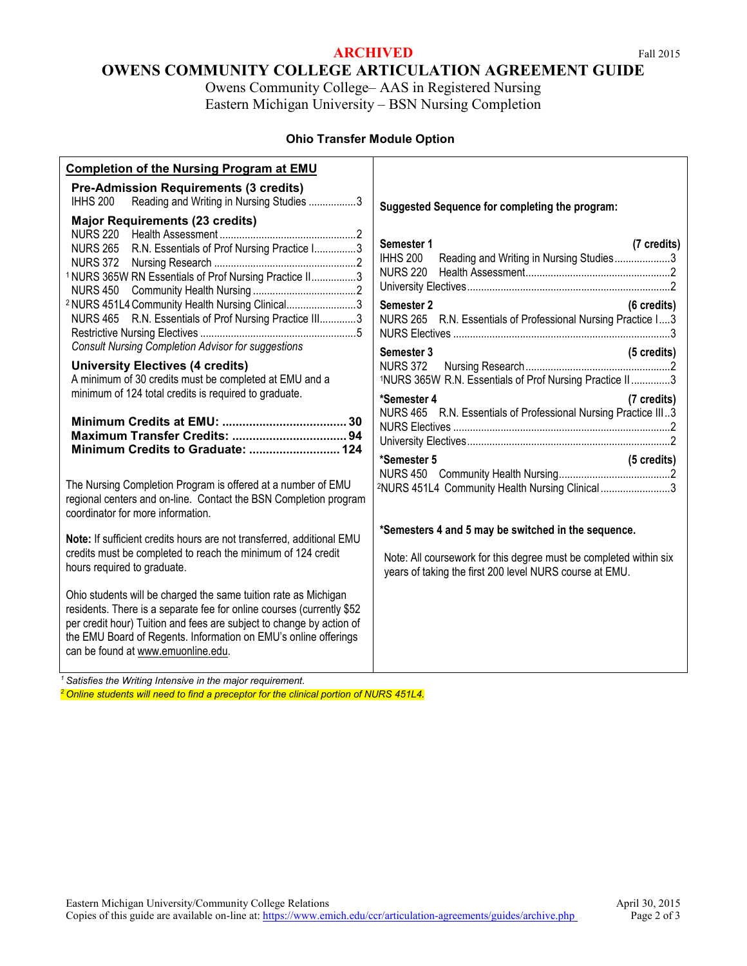### **ARCHIVED** Fall 2015

# **OWENS COMMUNITY COLLEGE ARTICULATION AGREEMENT GUIDE**

Owens Community College– AAS in Registered Nursing Eastern Michigan University – BSN Nursing Completion

#### **Ohio Transfer Module Option**

| <b>Completion of the Nursing Program at EMU</b>                                                                                                                                                                                                                                                                                                                                                                                                                                                             |                                                                                                                                                                                                                                                                                                                                                  |
|-------------------------------------------------------------------------------------------------------------------------------------------------------------------------------------------------------------------------------------------------------------------------------------------------------------------------------------------------------------------------------------------------------------------------------------------------------------------------------------------------------------|--------------------------------------------------------------------------------------------------------------------------------------------------------------------------------------------------------------------------------------------------------------------------------------------------------------------------------------------------|
| <b>Pre-Admission Requirements (3 credits)</b><br>Reading and Writing in Nursing Studies 3<br><b>IHHS 200</b>                                                                                                                                                                                                                                                                                                                                                                                                | Suggested Sequence for completing the program:                                                                                                                                                                                                                                                                                                   |
| <b>Major Requirements (23 credits)</b><br>NURS 265 R.N. Essentials of Prof Nursing Practice I3<br>1 NURS 365W RN Essentials of Prof Nursing Practice II3<br><sup>2</sup> NURS 451L4 Community Health Nursing Clinical3<br>NURS 465 R.N. Essentials of Prof Nursing Practice III3<br><b>Consult Nursing Completion Advisor for suggestions</b><br><b>University Electives (4 credits)</b><br>A minimum of 30 credits must be completed at EMU and a<br>minimum of 124 total credits is required to graduate. | Semester 1<br>(7 credits)<br><b>IHHS 200</b><br>Reading and Writing in Nursing Studies3<br><b>NURS 220</b><br>Semester 2<br>(6 credits)<br>NURS 265 R.N. Essentials of Professional Nursing Practice I3<br>Semester 3<br>(5 credits)<br><b>NURS 372</b><br>1NURS 365W R.N. Essentials of Prof Nursing Practice II3<br>*Semester 4<br>(7 credits) |
|                                                                                                                                                                                                                                                                                                                                                                                                                                                                                                             | NURS 465 R.N. Essentials of Professional Nursing Practice III3<br>*Semester 5<br>(5 credits)                                                                                                                                                                                                                                                     |
| The Nursing Completion Program is offered at a number of EMU<br>regional centers and on-line. Contact the BSN Completion program<br>coordinator for more information.                                                                                                                                                                                                                                                                                                                                       | <sup>2</sup> NURS 451L4 Community Health Nursing Clinical3                                                                                                                                                                                                                                                                                       |
| Note: If sufficient credits hours are not transferred, additional EMU<br>credits must be completed to reach the minimum of 124 credit<br>hours required to graduate.                                                                                                                                                                                                                                                                                                                                        | *Semesters 4 and 5 may be switched in the sequence.<br>Note: All coursework for this degree must be completed within six<br>years of taking the first 200 level NURS course at EMU.                                                                                                                                                              |
| Ohio students will be charged the same tuition rate as Michigan<br>residents. There is a separate fee for online courses (currently \$52<br>per credit hour) Tuition and fees are subject to change by action of<br>the EMU Board of Regents. Information on EMU's online offerings<br>can be found at www.emuonline.edu.                                                                                                                                                                                   |                                                                                                                                                                                                                                                                                                                                                  |

*<sup>1</sup> Satisfies the Writing Intensive in the major requirement.*

*<sup>2</sup> Online students will need to find a preceptor for the clinical portion of NURS 451L4.*